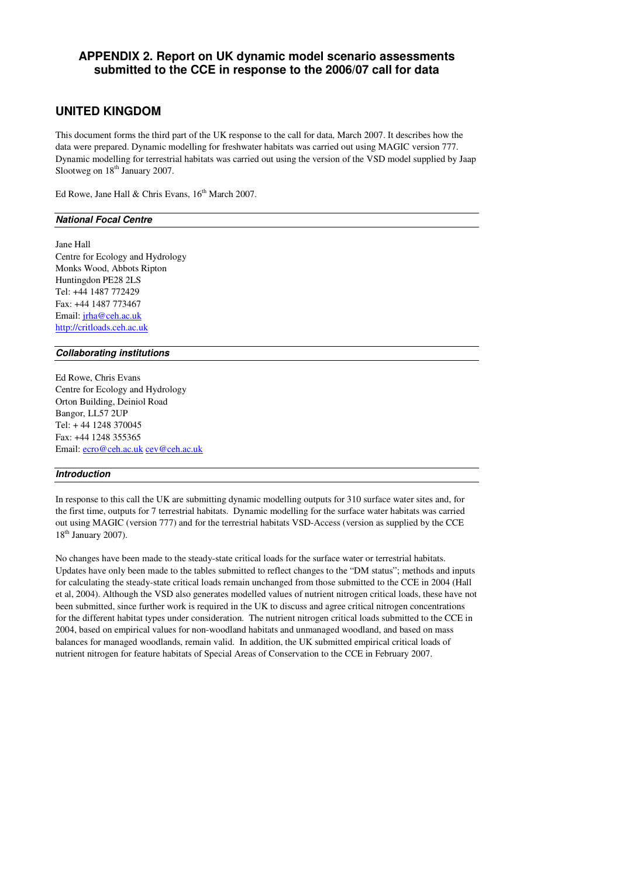# **APPENDIX 2. Report on UK dynamic model scenario assessments submitted to the CCE in response to the 2006/07 call for data**

## **UNITED KINGDOM**

This document forms the third part of the UK response to the call for data, March 2007. It describes how the data were prepared. Dynamic modelling for freshwater habitats was carried out using MAGIC version 777. Dynamic modelling for terrestrial habitats was carried out using the version of the VSD model supplied by Jaap Slootweg on  $18<sup>th</sup>$  January 2007.

Ed Rowe, Jane Hall & Chris Evans,  $16^{th}$  March 2007.

#### **National Focal Centre**

Jane Hall Centre for Ecology and Hydrology Monks Wood, Abbots Ripton Huntingdon PE28 2LS Tel: +44 1487 772429 Fax: +44 1487 773467 Email: jrha@ceh.ac.uk http://critloads.ceh.ac.uk

#### **Collaborating institutions**

Ed Rowe, Chris Evans Centre for Ecology and Hydrology Orton Building, Deiniol Road Bangor, LL57 2UP Tel: + 44 1248 370045 Fax: +44 1248 355365 Email: ecro@ceh.ac.uk cev@ceh.ac.uk

### **Introduction**

In response to this call the UK are submitting dynamic modelling outputs for 310 surface water sites and, for the first time, outputs for 7 terrestrial habitats. Dynamic modelling for the surface water habitats was carried out using MAGIC (version 777) and for the terrestrial habitats VSD-Access (version as supplied by the CCE 18<sup>th</sup> January 2007).

No changes have been made to the steady-state critical loads for the surface water or terrestrial habitats. Updates have only been made to the tables submitted to reflect changes to the "DM status"; methods and inputs for calculating the steady-state critical loads remain unchanged from those submitted to the CCE in 2004 (Hall et al, 2004). Although the VSD also generates modelled values of nutrient nitrogen critical loads, these have not been submitted, since further work is required in the UK to discuss and agree critical nitrogen concentrations for the different habitat types under consideration. The nutrient nitrogen critical loads submitted to the CCE in 2004, based on empirical values for non-woodland habitats and unmanaged woodland, and based on mass balances for managed woodlands, remain valid. In addition, the UK submitted empirical critical loads of nutrient nitrogen for feature habitats of Special Areas of Conservation to the CCE in February 2007.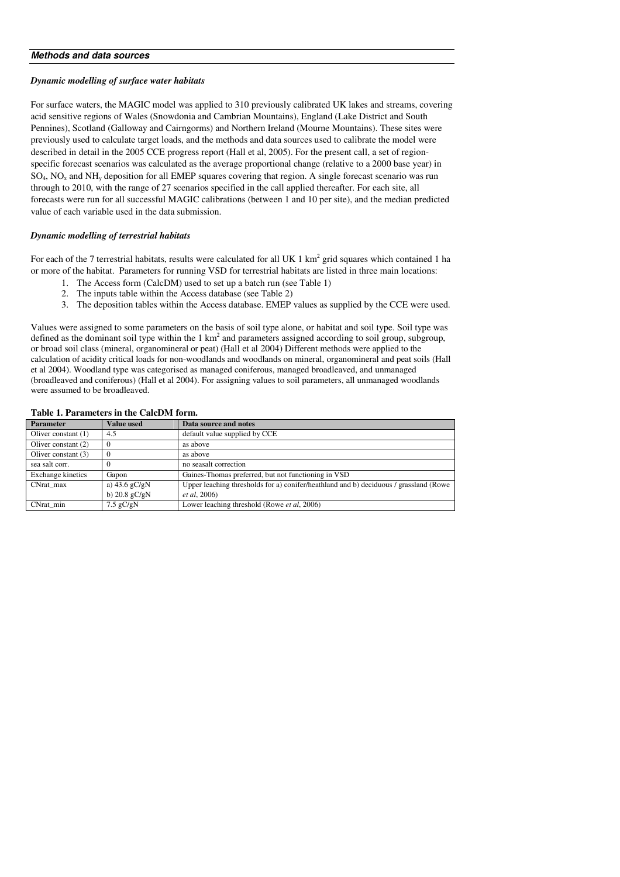#### **Methods and data sources**

#### *Dynamic modelling of surface water habitats*

For surface waters, the MAGIC model was applied to 310 previously calibrated UK lakes and streams, covering acid sensitive regions of Wales (Snowdonia and Cambrian Mountains), England (Lake District and South Pennines), Scotland (Galloway and Cairngorms) and Northern Ireland (Mourne Mountains). These sites were previously used to calculate target loads, and the methods and data sources used to calibrate the model were described in detail in the 2005 CCE progress report (Hall et al, 2005). For the present call, a set of regionspecific forecast scenarios was calculated as the average proportional change (relative to a 2000 base year) in  $SO_4$ , NO<sub>x</sub> and NH<sub>y</sub> deposition for all EMEP squares covering that region. A single forecast scenario was run through to 2010, with the range of 27 scenarios specified in the call applied thereafter. For each site, all forecasts were run for all successful MAGIC calibrations (between 1 and 10 per site), and the median predicted value of each variable used in the data submission.

#### *Dynamic modelling of terrestrial habitats*

For each of the 7 terrestrial habitats, results were calculated for all UK 1  $km^2$  grid squares which contained 1 ha or more of the habitat. Parameters for running VSD for terrestrial habitats are listed in three main locations:

- 1. The Access form (CalcDM) used to set up a batch run (see Table 1)
- 2. The inputs table within the Access database (see Table 2)
- 3. The deposition tables within the Access database. EMEP values as supplied by the CCE were used.

Values were assigned to some parameters on the basis of soil type alone, or habitat and soil type. Soil type was defined as the dominant soil type within the  $1 \text{ km}^2$  and parameters assigned according to soil group, subgroup, or broad soil class (mineral, organomineral or peat) (Hall et al 2004) Different methods were applied to the calculation of acidity critical loads for non-woodlands and woodlands on mineral, organomineral and peat soils (Hall et al 2004). Woodland type was categorised as managed coniferous, managed broadleaved, and unmanaged (broadleaved and coniferous) (Hall et al 2004). For assigning values to soil parameters, all unmanaged woodlands were assumed to be broadleaved.

#### **Table 1. Parameters in the CalcDM form.**

| <b>Parameter</b>      | <b>Value</b> used | Data source and notes                                                                 |
|-----------------------|-------------------|---------------------------------------------------------------------------------------|
| Oliver constant $(1)$ | 4.5               | default value supplied by CCE                                                         |
| Oliver constant (2)   | $\Omega$          | as above                                                                              |
| Oliver constant $(3)$ | $\theta$          | as above                                                                              |
| sea salt corr.        |                   | no seasalt correction                                                                 |
| Exchange kinetics     | Gapon             | Gaines-Thomas preferred, but not functioning in VSD                                   |
| CNrat max             | a) $43.6$ gC/gN   | Upper leaching thresholds for a) conifer/heathland and b) deciduous / grassland (Rowe |
|                       | b) $20.8$ gC/gN   | <i>et al.</i> 2006)                                                                   |
| CNrat min             | $7.5$ gC/gN       | Lower leaching threshold (Rowe et al, 2006)                                           |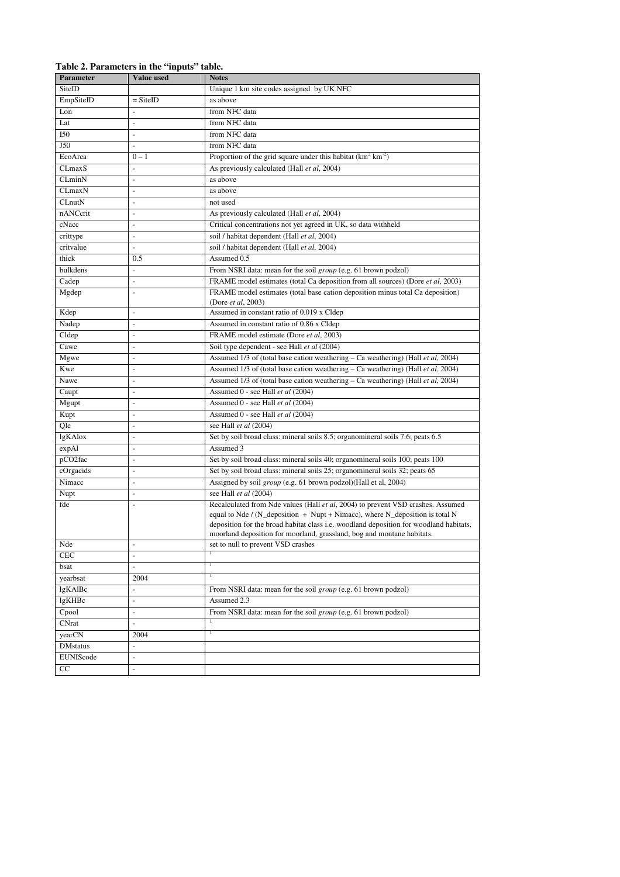## **Table 2. Parameters in the "inputs" table.**

| Parameter        | Value used               | <b>Notes</b>                                                                                                                                                                                                                                                                                                                        |
|------------------|--------------------------|-------------------------------------------------------------------------------------------------------------------------------------------------------------------------------------------------------------------------------------------------------------------------------------------------------------------------------------|
| SiteID           |                          | Unique 1 km site codes assigned by UK NFC                                                                                                                                                                                                                                                                                           |
| EmpSiteID        | $=$ SiteID               | as above                                                                                                                                                                                                                                                                                                                            |
| Lon              | $\overline{a}$           | from NFC data                                                                                                                                                                                                                                                                                                                       |
| Lat              | $\Box$                   | from NFC data                                                                                                                                                                                                                                                                                                                       |
| <b>I50</b>       | ÷,                       | from NFC data                                                                                                                                                                                                                                                                                                                       |
| J50              | $\blacksquare$           | from NFC data                                                                                                                                                                                                                                                                                                                       |
| EcoArea          | $0 - 1$                  | Proportion of the grid square under this habitat $(km^2 km^2)$                                                                                                                                                                                                                                                                      |
| CLmaxS           |                          | As previously calculated (Hall et al, 2004)                                                                                                                                                                                                                                                                                         |
| CLminN           | ä,                       | as above                                                                                                                                                                                                                                                                                                                            |
| CLmaxN           | ÷,                       | as above                                                                                                                                                                                                                                                                                                                            |
| CLnutN           | $\blacksquare$           | not used                                                                                                                                                                                                                                                                                                                            |
| nANCcrit         | $\blacksquare$           | As previously calculated (Hall et al, 2004)                                                                                                                                                                                                                                                                                         |
| cNacc            | $\overline{\phantom{a}}$ | Critical concentrations not yet agreed in UK, so data withheld                                                                                                                                                                                                                                                                      |
| crittype         | $\bar{\phantom{a}}$      | soil / habitat dependent (Hall et al, 2004)                                                                                                                                                                                                                                                                                         |
| critvalue        | ÷,                       | soil / habitat dependent (Hall et al, 2004)                                                                                                                                                                                                                                                                                         |
| thick            | 0.5                      | Assumed 0.5                                                                                                                                                                                                                                                                                                                         |
| bulkdens         | $\Box$                   | From NSRI data: mean for the soil <i>group</i> (e.g. 61 brown podzol)                                                                                                                                                                                                                                                               |
| Cadep            | $\overline{\phantom{a}}$ | FRAME model estimates (total Ca deposition from all sources) (Dore et al., 2003)                                                                                                                                                                                                                                                    |
| Mgdep            | $\overline{\phantom{a}}$ | FRAME model estimates (total base cation deposition minus total Ca deposition)<br>(Dore <i>et al</i> , 2003)                                                                                                                                                                                                                        |
| Kdep             | ÷,                       | Assumed in constant ratio of 0.019 x Cldep                                                                                                                                                                                                                                                                                          |
| Nadep            | ÷,                       | Assumed in constant ratio of 0.86 x Cldep                                                                                                                                                                                                                                                                                           |
| Cldep            | $\blacksquare$           | FRAME model estimate (Dore et al, 2003)                                                                                                                                                                                                                                                                                             |
| Cawe             | $\blacksquare$           | Soil type dependent - see Hall et al (2004)                                                                                                                                                                                                                                                                                         |
| Mgwe             | $\overline{\phantom{a}}$ | Assumed 1/3 of (total base cation weathering - Ca weathering) (Hall et al, 2004)                                                                                                                                                                                                                                                    |
| Kwe              | $\blacksquare$           | Assumed 1/3 of (total base cation weathering - Ca weathering) (Hall et al, 2004)                                                                                                                                                                                                                                                    |
| Nawe             | $\overline{\phantom{a}}$ | Assumed 1/3 of (total base cation weathering – Ca weathering) (Hall et al, 2004)                                                                                                                                                                                                                                                    |
| Caupt            | $\Box$                   | Assumed 0 - see Hall et al (2004)                                                                                                                                                                                                                                                                                                   |
| Mgupt            | $\overline{a}$           | Assumed 0 - see Hall et al (2004)                                                                                                                                                                                                                                                                                                   |
| Kupt             | $\blacksquare$           | Assumed 0 - see Hall et al (2004)                                                                                                                                                                                                                                                                                                   |
| Qle              | $\overline{\phantom{a}}$ | see Hall et al (2004)                                                                                                                                                                                                                                                                                                               |
| lgKAlox          | ÷,                       | Set by soil broad class: mineral soils 8.5; organomineral soils 7.6; peats 6.5                                                                                                                                                                                                                                                      |
| expAl            | $\overline{\phantom{a}}$ | Assumed 3                                                                                                                                                                                                                                                                                                                           |
| pCO2fac          | $\blacksquare$           | Set by soil broad class: mineral soils 40; organomineral soils 100; peats 100                                                                                                                                                                                                                                                       |
| cOrgacids        | $\blacksquare$           | Set by soil broad class: mineral soils 25; organomineral soils 32; peats 65                                                                                                                                                                                                                                                         |
| Nimacc           | $\overline{\phantom{a}}$ | Assigned by soil group (e.g. 61 brown podzol)(Hall et al, 2004)                                                                                                                                                                                                                                                                     |
| Nupt             | ÷,                       | see Hall et al (2004)                                                                                                                                                                                                                                                                                                               |
| fde              | $\blacksquare$           | Recalculated from Nde values (Hall et al, 2004) to prevent VSD crashes. Assumed<br>equal to Nde / (N_deposition + Nupt + Nimacc), where N_deposition is total N<br>deposition for the broad habitat class i.e. woodland deposition for woodland habitats,<br>moorland deposition for moorland, grassland, bog and montane habitats. |
| Nde              | $\blacksquare$           | set to null to prevent VSD crashes                                                                                                                                                                                                                                                                                                  |
| <b>CEC</b>       | $\blacksquare$           | T                                                                                                                                                                                                                                                                                                                                   |
| bsat             | $\omega$                 | т                                                                                                                                                                                                                                                                                                                                   |
| yearbsat         | 2004                     | т                                                                                                                                                                                                                                                                                                                                   |
| lgKAlBc          | $\equiv$                 | From NSRI data: mean for the soil <i>group</i> (e.g. 61 brown podzol)                                                                                                                                                                                                                                                               |
| lgKHBc           | $\blacksquare$           | Assumed 2.3                                                                                                                                                                                                                                                                                                                         |
| Cpool            | $\Box$                   | From NSRI data: mean for the soil <i>group</i> (e.g. 61 brown podzol)                                                                                                                                                                                                                                                               |
| <b>CNrat</b>     | $\equiv$                 |                                                                                                                                                                                                                                                                                                                                     |
| yearCN           | 2004                     | т                                                                                                                                                                                                                                                                                                                                   |
| <b>DM</b> status | $\overline{\phantom{a}}$ |                                                                                                                                                                                                                                                                                                                                     |
| EUNIScode        | $\blacksquare$           |                                                                                                                                                                                                                                                                                                                                     |
| CC               | $\blacksquare$           |                                                                                                                                                                                                                                                                                                                                     |